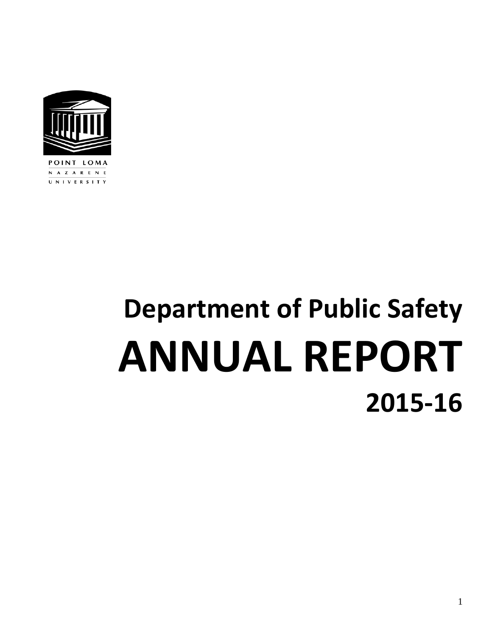

N A Z A R E N E UNIVERSITY

# **Department of Public Safety ANNUAL REPORT 2015‐16**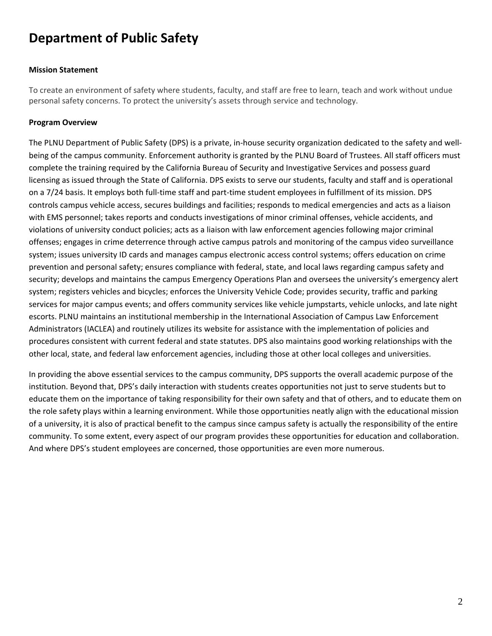# **Department of Public Safety**

#### **Mission Statement**

To create an environment of safety where students, faculty, and staff are free to learn, teach and work without undue personal safety concerns. To protect the university's assets through service and technology.

#### **Program Overview**

The PLNU Department of Public Safety (DPS) is a private, in‐house security organization dedicated to the safety and well‐ being of the campus community. Enforcement authority is granted by the PLNU Board of Trustees. All staff officers must complete the training required by the California Bureau of Security and Investigative Services and possess guard licensing as issued through the State of California. DPS exists to serve our students, faculty and staff and is operational on a 7/24 basis. It employs both full‐time staff and part‐time student employees in fulfillment of its mission. DPS controls campus vehicle access, secures buildings and facilities; responds to medical emergencies and acts as a liaison with EMS personnel; takes reports and conducts investigations of minor criminal offenses, vehicle accidents, and violations of university conduct policies; acts as a liaison with law enforcement agencies following major criminal offenses; engages in crime deterrence through active campus patrols and monitoring of the campus video surveillance system; issues university ID cards and manages campus electronic access control systems; offers education on crime prevention and personal safety; ensures compliance with federal, state, and local laws regarding campus safety and security; develops and maintains the campus Emergency Operations Plan and oversees the university's emergency alert system; registers vehicles and bicycles; enforces the University Vehicle Code; provides security, traffic and parking services for major campus events; and offers community services like vehicle jumpstarts, vehicle unlocks, and late night escorts. PLNU maintains an institutional membership in the International Association of Campus Law Enforcement Administrators (IACLEA) and routinely utilizes its website for assistance with the implementation of policies and procedures consistent with current federal and state statutes. DPS also maintains good working relationships with the other local, state, and federal law enforcement agencies, including those at other local colleges and universities.

In providing the above essential services to the campus community, DPS supports the overall academic purpose of the institution. Beyond that, DPS's daily interaction with students creates opportunities not just to serve students but to educate them on the importance of taking responsibility for their own safety and that of others, and to educate them on the role safety plays within a learning environment. While those opportunities neatly align with the educational mission of a university, it is also of practical benefit to the campus since campus safety is actually the responsibility of the entire community. To some extent, every aspect of our program provides these opportunities for education and collaboration. And where DPS's student employees are concerned, those opportunities are even more numerous.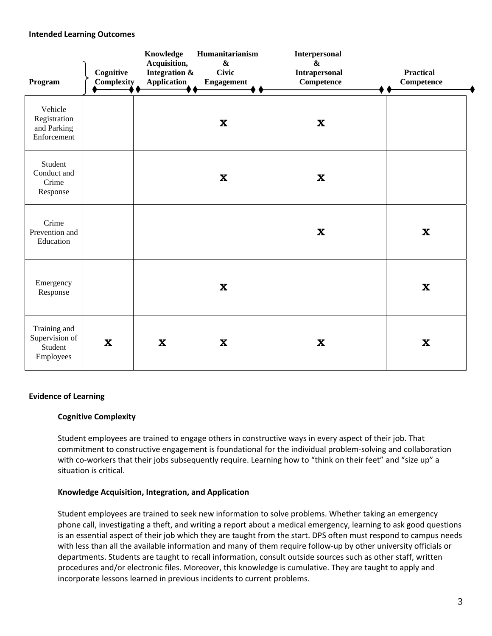#### **Intended Learning Outcomes**

| Program                                                | Cognitive<br>Complexity | Knowledge<br>Acquisition,<br>Integration &<br>Application | Humanitarianism<br>$\boldsymbol{\&}$<br><b>Civic</b><br><b>Engagement</b> | <b>Interpersonal</b><br>$\boldsymbol{\&}$<br>Intrapersonal<br><b>Competence</b> | <b>Practical</b><br>Competence |
|--------------------------------------------------------|-------------------------|-----------------------------------------------------------|---------------------------------------------------------------------------|---------------------------------------------------------------------------------|--------------------------------|
| Vehicle<br>Registration<br>and Parking<br>Enforcement  |                         |                                                           | $\boldsymbol{\mathrm{X}}$                                                 | $\mathbf X$                                                                     |                                |
| Student<br>Conduct and<br>Crime<br>Response            |                         |                                                           | $\boldsymbol{\mathrm{X}}$                                                 | $\mathbf X$                                                                     |                                |
| Crime<br>Prevention and<br>Education                   |                         |                                                           |                                                                           | $\mathbf{X}$                                                                    | $\boldsymbol{\mathrm{X}}$      |
| Emergency<br>Response                                  |                         |                                                           | $\boldsymbol{\mathrm{X}}$                                                 |                                                                                 | $\boldsymbol{\mathrm{X}}$      |
| Training and<br>Supervision of<br>Student<br>Employees | $\mathbf x$             | $\boldsymbol{\mathrm{X}}$                                 | $\boldsymbol{\mathrm{X}}$                                                 | $\mathbf{X}$                                                                    | $\boldsymbol{\mathrm{X}}$      |

#### **Evidence of Learning**

#### **Cognitive Complexity**

Student employees are trained to engage others in constructive ways in every aspect of their job. That commitment to constructive engagement is foundational for the individual problem‐solving and collaboration with co-workers that their jobs subsequently require. Learning how to "think on their feet" and "size up" a situation is critical.

#### **Knowledge Acquisition, Integration, and Application**

Student employees are trained to seek new information to solve problems. Whether taking an emergency phone call, investigating a theft, and writing a report about a medical emergency, learning to ask good questions is an essential aspect of their job which they are taught from the start. DPS often must respond to campus needs with less than all the available information and many of them require follow-up by other university officials or departments. Students are taught to recall information, consult outside sources such as other staff, written procedures and/or electronic files. Moreover, this knowledge is cumulative. They are taught to apply and incorporate lessons learned in previous incidents to current problems.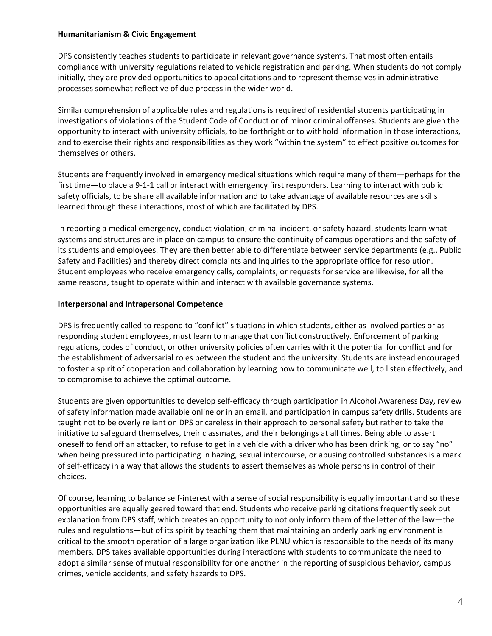#### **Humanitarianism & Civic Engagement**

DPS consistently teaches students to participate in relevant governance systems. That most often entails compliance with university regulations related to vehicle registration and parking. When students do not comply initially, they are provided opportunities to appeal citations and to represent themselves in administrative processes somewhat reflective of due process in the wider world.

Similar comprehension of applicable rules and regulations is required of residential students participating in investigations of violations of the Student Code of Conduct or of minor criminal offenses. Students are given the opportunity to interact with university officials, to be forthright or to withhold information in those interactions, and to exercise their rights and responsibilities as they work "within the system" to effect positive outcomes for themselves or others.

Students are frequently involved in emergency medical situations which require many of them—perhaps for the first time—to place a 9-1-1 call or interact with emergency first responders. Learning to interact with public safety officials, to be share all available information and to take advantage of available resources are skills learned through these interactions, most of which are facilitated by DPS.

In reporting a medical emergency, conduct violation, criminal incident, or safety hazard, students learn what systems and structures are in place on campus to ensure the continuity of campus operations and the safety of its students and employees. They are then better able to differentiate between service departments (e.g., Public Safety and Facilities) and thereby direct complaints and inquiries to the appropriate office for resolution. Student employees who receive emergency calls, complaints, or requests for service are likewise, for all the same reasons, taught to operate within and interact with available governance systems.

#### **Interpersonal and Intrapersonal Competence**

DPS is frequently called to respond to "conflict" situations in which students, either as involved parties or as responding student employees, must learn to manage that conflict constructively. Enforcement of parking regulations, codes of conduct, or other university policies often carries with it the potential for conflict and for the establishment of adversarial roles between the student and the university. Students are instead encouraged to foster a spirit of cooperation and collaboration by learning how to communicate well, to listen effectively, and to compromise to achieve the optimal outcome.

Students are given opportunities to develop self‐efficacy through participation in Alcohol Awareness Day, review of safety information made available online or in an email, and participation in campus safety drills. Students are taught not to be overly reliant on DPS or careless in their approach to personal safety but rather to take the initiative to safeguard themselves, their classmates, and their belongings at all times. Being able to assert oneself to fend off an attacker, to refuse to get in a vehicle with a driver who has been drinking, or to say "no" when being pressured into participating in hazing, sexual intercourse, or abusing controlled substances is a mark of self‐efficacy in a way that allows the students to assert themselves as whole persons in control of their choices.

Of course, learning to balance self‐interest with a sense of social responsibility is equally important and so these opportunities are equally geared toward that end. Students who receive parking citations frequently seek out explanation from DPS staff, which creates an opportunity to not only inform them of the letter of the law—the rules and regulations—but of its spirit by teaching them that maintaining an orderly parking environment is critical to the smooth operation of a large organization like PLNU which is responsible to the needs of its many members. DPS takes available opportunities during interactions with students to communicate the need to adopt a similar sense of mutual responsibility for one another in the reporting of suspicious behavior, campus crimes, vehicle accidents, and safety hazards to DPS.